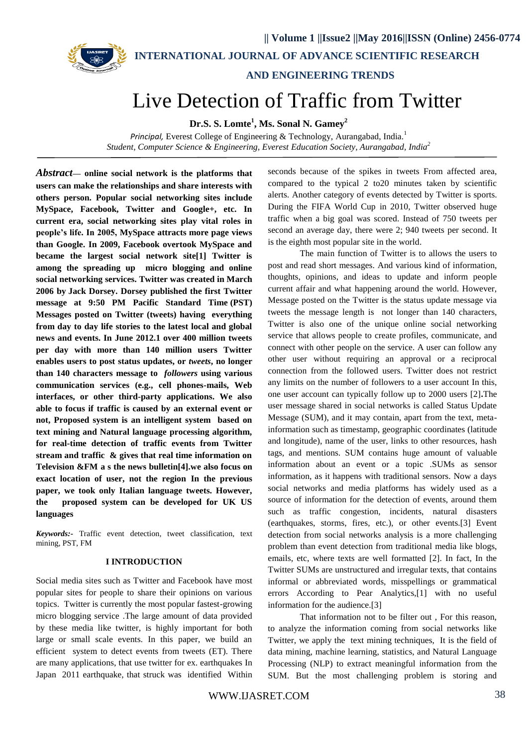

 **AND ENGINEERING TRENDS**

# Live Detection of Traffic from Twitter

**Dr.S. S. Lomte 1 , Ms. Sonal N. Gamey<sup>2</sup>** 

*Principal,* Everest College of Engineering & Technology, Aurangabad, India.<sup>1</sup> *Student, Computer Science & Engineering, Everest Education Society, Aurangabad, India<sup>2</sup>* 

*Abstract***— online social network is the platforms that users can make the relationships and share interests with others person. Popular social networking sites include MySpace, Facebook, Twitter and Google+, etc. In current era, social networking sites play vital roles in people's life. In 2005, MySpace attracts more page views than Google. In 2009, Facebook overtook MySpace and became the largest social network site[1] Twitter is among the spreading up micro blogging and online social networking services. Twitter was created in March 2006 by [Jack Dorsey.](https://en.wikipedia.org/wiki/Jack_Dorsey) Dorsey published the first Twitter message at 9:50 PM [Pacific Standard Time](https://en.wikipedia.org/wiki/Pacific_Standard_Time) (PST) Messages posted on Twitter (tweets) having everything from day to day life stories to the latest local and global news and events. In June 2012.1 over 400 million tweets per day with more than 140 million users Twitter enables users to post status updates, or** *tweets***, no longer than 140 characters message to** *followers* **using various communication services (e.g., cell phones-mails, Web interfaces, or other third-party applications. We also able to focus if traffic is caused by an external event or not, Proposed system is an intelligent system based on text mining and Natural language processing algorithm, for real-time detection of traffic events from Twitter stream and traffic & gives that real time information on Television &FM a s the news bulletin[4].we also focus on exact location of user, not the region In the previous paper, we took only Italian language tweets. However, the proposed system can be developed for UK US languages**

*Keywords:-* Traffic event detection, tweet classification, text mining, PST, FM

#### **I INTRODUCTION**

Social media sites such as Twitter and Facebook have most popular sites for people to share their opinions on various topics. Twitter is currently the most popular fastest-growing micro blogging service .The large amount of data provided by these media like twitter, is highly important for both large or small scale events. In this paper, we build an efficient system to detect events from tweets (ET). There are many applications, that use twitter for ex. earthquakes In Japan 2011 earthquake, that struck was identified Within

seconds because of the spikes in tweets From affected area, compared to the typical 2 to20 minutes taken by scientific alerts. Another category of events detected by Twitter is sports. During the FIFA World Cup in 2010, Twitter observed huge traffic when a big goal was scored. Instead of 750 tweets per second an average day, there were 2; 940 tweets per second. It is the eighth most popular site in the world.

The main function of Twitter is to allows the users to post and read short messages. And various kind of information, thoughts, opinions, and ideas to update and inform people current affair and what happening around the world. However, Message posted on the Twitter is the status update message via tweets the message length is not longer than 140 characters, Twitter is also one of the unique online social networking service that allows people to create profiles, communicate, and connect with other people on the service. A user can follow any other user without requiring an approval or a reciprocal connection from the followed users. Twitter does not restrict any limits on the number of followers to a user account In this, one user account can typically follow up to 2000 users [2]**.**The user message shared in social networks is called Status Update Message (SUM), and it may contain, apart from the text, metainformation such as timestamp, geographic coordinates (latitude and longitude), name of the user, links to other resources, hash tags, and mentions. SUM contains huge amount of valuable information about an event or a topic .SUMs as sensor information, as it happens with traditional sensors. Now a days social networks and media platforms has widely used as a source of information for the detection of events, around them such as traffic congestion, incidents, natural disasters (earthquakes, storms, fires, etc.), or other events.[3] Event detection from social networks analysis is a more challenging problem than event detection from traditional media like blogs, emails, etc, where texts are well formatted [2]. In fact, In the Twitter SUMs are unstructured and irregular texts, that contains informal or abbreviated words, misspellings or grammatical errors According to Pear Analytics,[1] with no useful information for the audience.[3]

That information not to be filter out , For this reason, to analyze the information coming from social networks like Twitter, we apply the text mining techniques, It is the field of data mining, machine learning, statistics, and Natural Language Processing (NLP) to extract meaningful information from the SUM. But the most challenging problem is storing and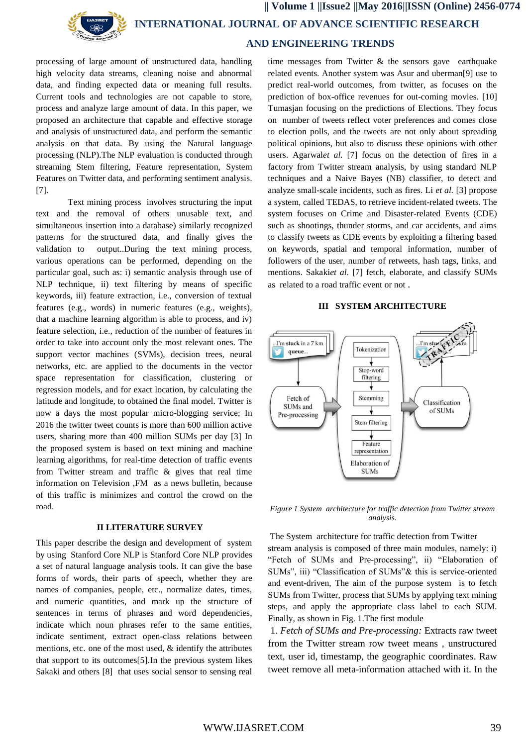

 **INTERNATIONAL JOURNAL OF ADVANCE SCIENTIFIC RESEARCH** 

## **AND ENGINEERING TRENDS**

processing of large amount of unstructured data, handling high velocity data streams, cleaning noise and abnormal data, and finding expected data or meaning full results. Current tools and technologies are not capable to store, process and analyze large amount of data. In this paper, we proposed an architecture that capable and effective storage and analysis of unstructured data, and perform the semantic analysis on that data. By using the Natural language processing (NLP).The NLP evaluation is conducted through streaming Stem filtering, Feature representation, System Features on Twitter data, and performing sentiment analysis. [7].

Text mining process involves structuring the input text and the removal of others unusable text, and simultaneous insertion into a [database\)](https://en.wikipedia.org/wiki/Database) similarly recognized patterns for the [structured data,](https://en.wikipedia.org/wiki/Structured_data) and finally gives the validation to output..During the text mining process, various operations can be performed, depending on the particular goal, such as: i) semantic analysis through use of NLP technique, ii) text filtering by means of specific keywords, iii) feature extraction, i.e., conversion of textual features (e.g., words) in numeric features (e.g., weights), that a machine learning algorithm is able to process, and iv) feature selection, i.e., reduction of the number of features in order to take into account only the most relevant ones. The support vector machines (SVMs), decision trees, neural networks, etc. are applied to the documents in the vector space representation for classification, clustering or regression models, and for exact location, by calculating the latitude and longitude, to obtained the final model. Twitter is now a days the most popular micro-blogging service; In 2016 the twitter tweet counts is more than 600 million active users, sharing more than 400 million SUMs per day [3] In the proposed system is based on text mining and machine learning algorithms, for real-time detection of traffic events from Twitter stream and traffic & gives that real time information on Television ,FM as a news bulletin, because of this traffic is minimizes and control the crowd on the road.

#### **II LITERATURE SURVEY**

This paper describe the design and development of system by using Stanford Core NLP is Stanford Core NLP provides a set of natural language analysis tools. It can give the base forms of words, their parts of speech, whether they are names of companies, people, etc., normalize dates, times, and numeric quantities, and mark up the structure of sentences in terms of phrases and word dependencies, indicate which noun phrases refer to the same entities, indicate sentiment, extract open-class relations between mentions, etc. one of the most used, & identify the attributes that support to its outcomes[5].In the previous system likes Sakaki and others [8] that uses social sensor to sensing real

time messages from Twitter & the sensors gave earthquake related events. Another system was Asur and uberman[9] use to predict real-world outcomes, from twitter, as focuses on the prediction of box-office revenues for out-coming movies. [10] Tumasjan focusing on the predictions of Elections. They focus on number of tweets reflect voter preferences and comes close to election polls, and the tweets are not only about spreading political opinions, but also to discuss these opinions with other users. Agarwal*et al.* [7] focus on the detection of fires in a factory from Twitter stream analysis, by using standard NLP techniques and a Naive Bayes (NB) classifier, to detect and analyze small-scale incidents, such as fires. Li *et al.* [3] propose a system, called TEDAS, to retrieve incident-related tweets. The system focuses on Crime and Disaster-related Events (CDE) such as shootings, thunder storms, and car accidents, and aims to classify tweets as CDE events by exploiting a filtering based on keywords, spatial and temporal information, number of followers of the user, number of retweets, hash tags, links, and mentions. Sakaki*et al.* [7] fetch, elaborate, and classify SUMs as related to a road traffic event or not .

#### **III SYSTEM ARCHITECTURE**



*Figure 1 System architecture for traffic detection from Twitter stream analysis.*

The System architecture for traffic detection from Twitter stream analysis is composed of three main modules, namely: i) "Fetch of SUMs and Pre-processing", ii) "Elaboration of SUMs", iii) "Classification of SUMs"& this is service-oriented and event-driven, The aim of the purpose system is to fetch SUMs from Twitter, process that SUMs by applying text mining steps, and apply the appropriate class label to each SUM. Finally, as shown in Fig. 1.The first module

1. *Fetch of SUMs and Pre-processing:* Extracts raw tweet from the Twitter stream row tweet means , unstructured text, user id, timestamp, the geographic coordinates. Raw tweet remove all meta-information attached with it. In the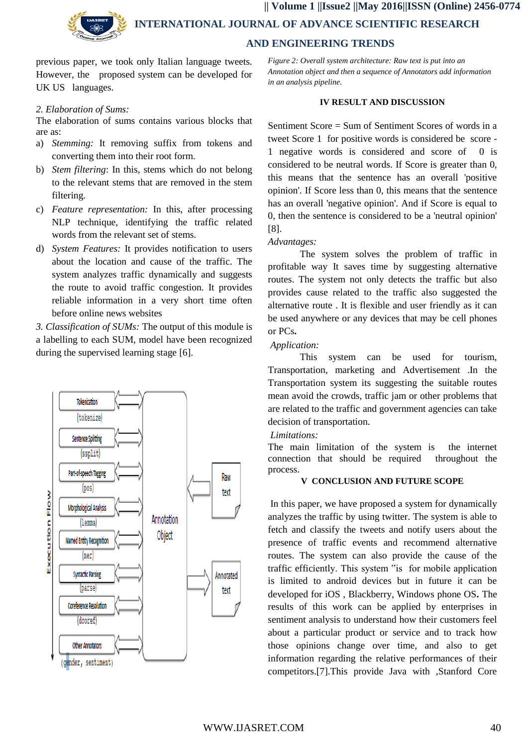

 **INTERNATIONAL JOURNAL OF ADVANCE SCIENTIFIC RESEARCH** 

### **AND ENGINEERING TRENDS**

previous paper, we took only Italian language tweets. However, the proposed system can be developed for UK US languages.

#### *2. Elaboration of Sums:*

The elaboration of sums contains various blocks that are as:

- a) *Stemming:* It removing suffix from tokens and converting them into their root form.
- b) *Stem filtering*: In this, stems which do not belong to the relevant stems that are removed in the stem filtering.
- c) *Feature representation:* In this, after processing NLP technique, identifying the traffic related words from the relevant set of stems.
- d) *System Features:* It provides notification to users about the location and cause of the traffic. The system analyzes traffic dynamically and suggests the route to avoid traffic congestion. It provides reliable information in a very short time often before online news websites

*3. Classification of SUMs:* The output of this module is a labelling to each SUM, model have been recognized during the supervised learning stage [6].



*Figure 2: Overall system architecture: Raw text is put into an Annotation object and then a sequence of Annotators add information in an analysis pipeline.*

#### **IV RESULT AND DISCUSSION**

Sentiment Score = Sum of Sentiment Scores of words in a tweet Score 1 for positive words is considered be score - 1 negative words is considered and score of 0 is considered to be neutral words. If Score is greater than 0, this means that the sentence has an overall 'positive opinion'. If Score less than 0, this means that the sentence has an overall 'negative opinion'. And if Score is equal to 0, then the sentence is considered to be a 'neutral opinion' [8].

#### *Advantages:*

The system solves the problem of traffic in profitable way It saves time by suggesting alternative routes. The system not only detects the traffic but also provides cause related to the traffic also suggested the alternative route . It is flexible and user friendly as it can be used anywhere or any devices that may be cell phones or PCs**.**

#### *Application:*

This system can be used for tourism, Transportation, marketing and Advertisement .In the Transportation system its suggesting the suitable routes mean avoid the crowds, traffic jam or other problems that are related to the traffic and government agencies can take decision of transportation.

#### *Limitations:*

The main limitation of the system is the internet connection that should be required throughout the process.

#### **V CONCLUSION AND FUTURE SCOPE**

In this paper, we have proposed a system for dynamically analyzes the traffic by using twitter. The system is able to fetch and classify the tweets and notify users about the presence of traffic events and recommend alternative routes. The system can also provide the cause of the traffic efficiently. This system "is for mobile application is limited to android devices but in future it can be developed for iOS , Blackberry, Windows phone OS**.** The results of this work can be applied by enterprises in sentiment analysis to understand how their customers feel about a particular product or service and to track how those opinions change over time, and also to get information regarding the relative performances of their competitors.[7].This provide Java with ,Stanford Core